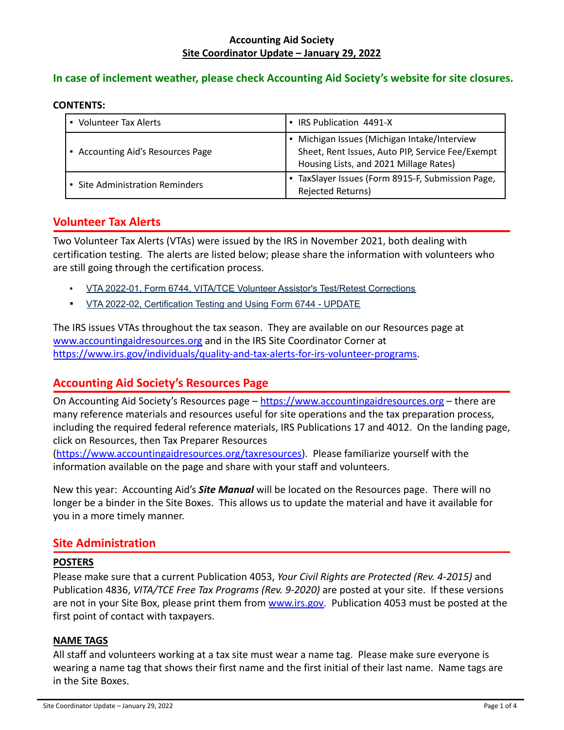### **Accounting Aid Society Site Coordinator Update – January 29, 2022**

# **In case of inclement weather, please check Accounting Aid Society's website for site closures.**

#### **CONTENTS:**

| <b>Volunteer Tax Alerts</b>          | IRS Publication 4491-X                                                                                                                   |
|--------------------------------------|------------------------------------------------------------------------------------------------------------------------------------------|
| Accounting Aid's Resources Page<br>٠ | Michigan Issues (Michigan Intake/Interview<br>Sheet, Rent Issues, Auto PIP, Service Fee/Exempt<br>Housing Lists, and 2021 Millage Rates) |
| • Site Administration Reminders      | TaxSlayer Issues (Form 8915-F, Submission Page,<br>Rejected Returns)                                                                     |

# **Volunteer Tax Alerts**

Two Volunteer Tax Alerts (VTAs) were issued by the IRS in November 2021, both dealing with certification testing. The alerts are listed below; please share the information with volunteers who are still going through the certification process.

- VTA 2022-01, Form 6744, VITA/TCE Volunteer Assistor's Test/Retest [Corrections](https://www.irs.gov/pub/irs-utl/VTA-2022-01.pdf)
- VTA 2022-02, [Certification](https://www.irs.gov/pub/irs-utl/VTA-2022-02.pdf) Testing and Using Form 6744 UPDATE

The IRS issues VTAs throughout the tax season. They are available on our Resources page at [www.accountingaidresources.org](http://www.accountingaidresources.org) and in the IRS Site Coordinator Corner at [https://www.irs.gov/individuals/quality-and-tax-alerts-for-irs-volunteer-programs.](https://www.irs.gov/individuals/quality-and-tax-alerts-for-irs-volunteer-programs)

# **Accounting Aid Society's Resources Page**

On Accounting Aid Society's Resources page – <https://www.accountingaidresources.org> – there are many reference materials and resources useful for site operations and the tax preparation process, including the required federal reference materials, IRS Publications 17 and 4012. On the landing page, click on Resources, then Tax Preparer Resources

[\(https://www.accountingaidresources.org/taxresources\)](https://www.accountingaidresources.org/taxresources). Please familiarize yourself with the information available on the page and share with your staff and volunteers.

New this year: Accounting Aid's *Site Manual* will be located on the Resources page. There will no longer be a binder in the Site Boxes. This allows us to update the material and have it available for you in a more timely manner.

# **Site Administration**

#### **POSTERS**

Please make sure that a current Publication 4053, *Your Civil Rights are Protected (Rev. 4-2015)* and Publication 4836, *VITA/TCE Free Tax Programs (Rev. 9-2020)* are posted at your site. If these versions are not in your Site Box, please print them from [www.irs.gov.](http://www.irs.gov) Publication 4053 must be posted at the first point of contact with taxpayers.

# **NAME TAGS**

All staff and volunteers working at a tax site must wear a name tag. Please make sure everyone is wearing a name tag that shows their first name and the first initial of their last name. Name tags are in the Site Boxes.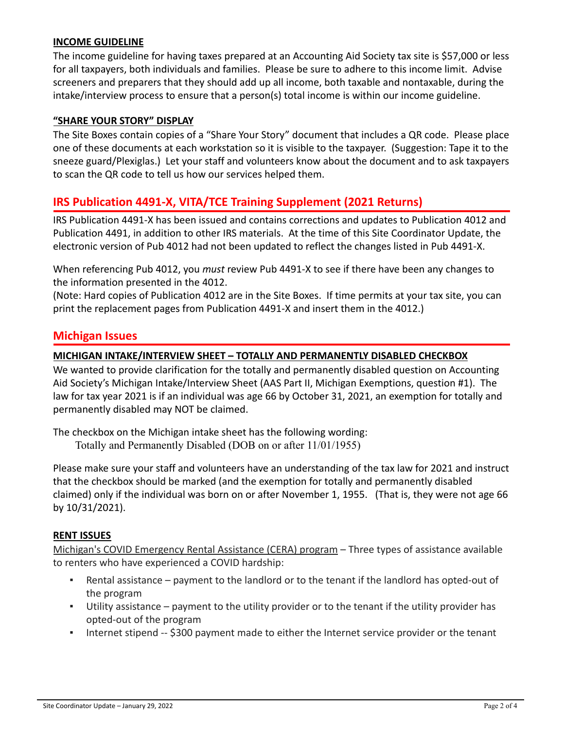### **INCOME GUIDELINE**

The income guideline for having taxes prepared at an Accounting Aid Society tax site is \$57,000 or less for all taxpayers, both individuals and families. Please be sure to adhere to this income limit. Advise screeners and preparers that they should add up all income, both taxable and nontaxable, during the intake/interview process to ensure that a person(s) total income is within our income guideline.

### **"SHARE YOUR STORY" DISPLAY**

The Site Boxes contain copies of a "Share Your Story" document that includes a QR code. Please place one of these documents at each workstation so it is visible to the taxpayer. (Suggestion: Tape it to the sneeze guard/Plexiglas.) Let your staff and volunteers know about the document and to ask taxpayers to scan the QR code to tell us how our services helped them.

# **IRS Publication 4491-X, VITA/TCE Training Supplement (2021 Returns)**

IRS Publication 4491-X has been issued and contains corrections and updates to Publication 4012 and Publication 4491, in addition to other IRS materials. At the time of this Site Coordinator Update, the electronic version of Pub 4012 had not been updated to reflect the changes listed in Pub 4491-X.

When referencing Pub 4012, you *must* review Pub 4491-X to see if there have been any changes to the information presented in the 4012.

(Note: Hard copies of Publication 4012 are in the Site Boxes. If time permits at your tax site, you can print the replacement pages from Publication 4491-X and insert them in the 4012.)

# **Michigan Issues**

### **MICHIGAN INTAKE/INTERVIEW SHEET – TOTALLY AND PERMANENTLY DISABLED CHECKBOX**

We wanted to provide clarification for the totally and permanently disabled question on Accounting Aid Society's Michigan Intake/Interview Sheet (AAS Part II, Michigan Exemptions, question #1). The law for tax year 2021 is if an individual was age 66 by October 31, 2021, an exemption for totally and permanently disabled may NOT be claimed.

The checkbox on the Michigan intake sheet has the following wording:

Totally and Permanently Disabled (DOB on or after 11/01/1955)

Please make sure your staff and volunteers have an understanding of the tax law for 2021 and instruct that the checkbox should be marked (and the exemption for totally and permanently disabled claimed) only if the individual was born on or after November 1, 1955. (That is, they were not age 66 by 10/31/2021).

#### **RENT ISSUES**

Michigan's COVID Emergency Rental Assistance (CERA) program – Three types of assistance available to renters who have experienced a COVID hardship:

- Rental assistance payment to the landlord or to the tenant if the landlord has opted-out of the program
- Utility assistance payment to the utility provider or to the tenant if the utility provider has opted-out of the program
- **•** Internet stipend -- \$300 payment made to either the Internet service provider or the tenant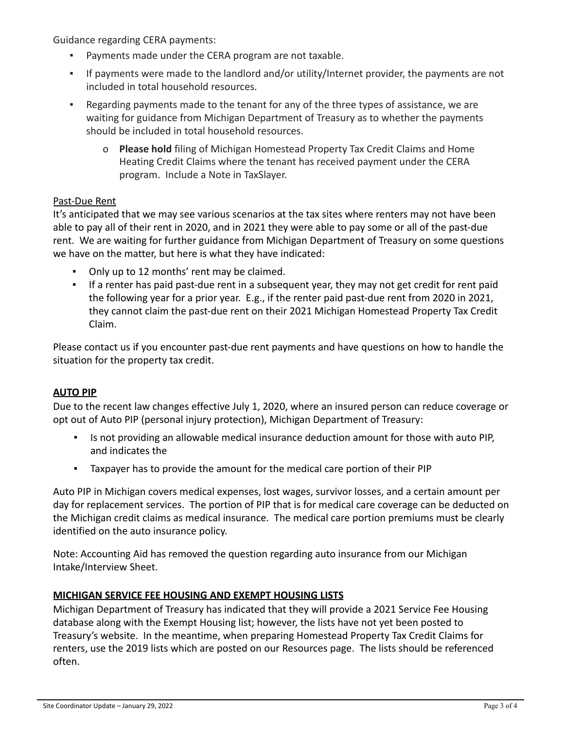Guidance regarding CERA payments:

- Payments made under the CERA program are not taxable.
- If payments were made to the landlord and/or utility/Internet provider, the payments are not included in total household resources.
- Regarding payments made to the tenant for any of the three types of assistance, we are waiting for guidance from Michigan Department of Treasury as to whether the payments should be included in total household resources.
	- o **Please hold** filing of Michigan Homestead Property Tax Credit Claims and Home Heating Credit Claims where the tenant has received payment under the CERA program. Include a Note in TaxSlayer.

### Past-Due Rent

It's anticipated that we may see various scenarios at the tax sites where renters may not have been able to pay all of their rent in 2020, and in 2021 they were able to pay some or all of the past-due rent. We are waiting for further guidance from Michigan Department of Treasury on some questions we have on the matter, but here is what they have indicated:

- Only up to 12 months' rent may be claimed.
- If a renter has paid past-due rent in a subsequent year, they may not get credit for rent paid the following year for a prior year. E.g., if the renter paid past-due rent from 2020 in 2021, they cannot claim the past-due rent on their 2021 Michigan Homestead Property Tax Credit Claim.

Please contact us if you encounter past-due rent payments and have questions on how to handle the situation for the property tax credit.

# **AUTO PIP**

Due to the recent law changes effective July 1, 2020, where an insured person can reduce coverage or opt out of Auto PIP (personal injury protection), Michigan Department of Treasury:

- Is not providing an allowable medical insurance deduction amount for those with auto PIP, and indicates the
- Taxpayer has to provide the amount for the medical care portion of their PIP

Auto PIP in Michigan covers medical expenses, lost wages, survivor losses, and a certain amount per day for replacement services. The portion of PIP that is for medical care coverage can be deducted on the Michigan credit claims as medical insurance. The medical care portion premiums must be clearly identified on the auto insurance policy.

Note: Accounting Aid has removed the question regarding auto insurance from our Michigan Intake/Interview Sheet.

# **MICHIGAN SERVICE FEE HOUSING AND EXEMPT HOUSING LISTS**

Michigan Department of Treasury has indicated that they will provide a 2021 Service Fee Housing database along with the Exempt Housing list; however, the lists have not yet been posted to Treasury's website. In the meantime, when preparing Homestead Property Tax Credit Claims for renters, use the 2019 lists which are posted on our Resources page. The lists should be referenced often.